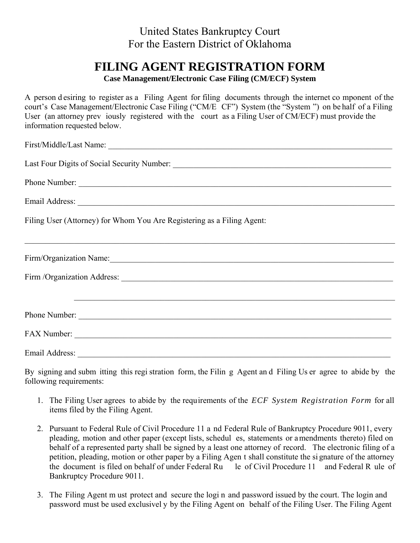## United States Bankruptcy Court For the Eastern District of Oklahoma

## **FILING AGENT REGISTRATION FORM**

**Case Management/Electronic Case Filing (CM/ECF) System** 

A person d esiring to register as a Filing Agent for filing documents through the internet co mponent of the court's Case Management/Electronic Case Filing ("CM/E CF") System (the "System ") on be half of a Filing User (an attorney prev iously registered with the court as a Filing User of CM/ECF) must provide the information requested below.

| First/Middle/Last Name:                                                |
|------------------------------------------------------------------------|
|                                                                        |
| Phone Number:                                                          |
|                                                                        |
| Filing User (Attorney) for Whom You Are Registering as a Filing Agent: |
| Firm/Organization Name:                                                |
|                                                                        |
|                                                                        |
|                                                                        |
|                                                                        |

By signing and subm itting this regi stration form, the Filin g Agent an d Filing Us er agree to abide by the following requirements:

- 1. The Filing User agrees to abide by the requirements of the *ECF System Registration Form* for all items filed by the Filing Agent.
- 2. Pursuant to Federal Rule of Civil Procedure 11 a nd Federal Rule of Bankruptcy Procedure 9011, every pleading, motion and other paper (except lists, schedul es, statements or amendments thereto) filed on behalf of a represented party shall be signed by a least one attorney of record. The electronic filing of a petition, pleading, motion or other paper by a Filing Agen t shall constitute the si gnature of the attorney the document is filed on behalf of under Federal Ru le of Civil Procedure 11 and Federal R ule of Bankruptcy Procedure 9011.
- 3. The Filing Agent m ust protect and secure the logi n and password issued by the court. The login and password must be used exclusivel y by the Filing Agent on behalf of the Filing User. The Filing Agent